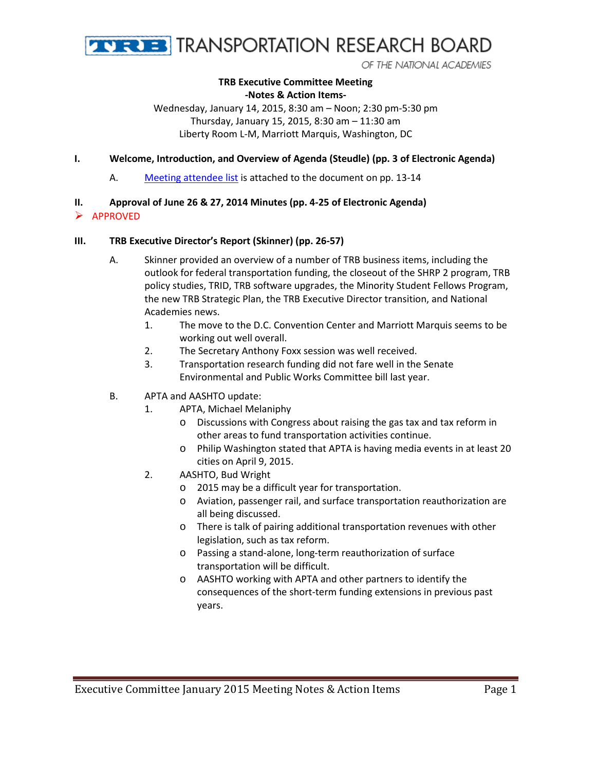

OF THE NATIONAL ACADEMIES

#### **TRB Executive Committee Meeting -Notes & Action Items-**

Wednesday, January 14, 2015, 8:30 am – Noon; 2:30 pm-5:30 pm Thursday, January 15, 2015, 8:30 am – 11:30 am Liberty Room L-M, Marriott Marquis, Washington, DC

### **I. Welcome, Introduction, and Overview of Agenda (Steudle) (pp. 3 of Electronic Agenda)**

A. [Meeting attendee list](#page-12-0) is attached to the document on pp. 13-14

### **II. Approval of June 26 & 27, 2014 Minutes (pp. 4-25 of Electronic Agenda)**

APPROVED

#### **III. TRB Executive Director's Report (Skinner) (pp. 26-57)**

- A. Skinner provided an overview of a number of TRB business items, including the outlook for federal transportation funding, the closeout of the SHRP 2 program, TRB policy studies, TRID, TRB software upgrades, the Minority Student Fellows Program, the new TRB Strategic Plan, the TRB Executive Director transition, and National Academies news.
	- 1. The move to the D.C. Convention Center and Marriott Marquis seems to be working out well overall.
	- 2. The Secretary Anthony Foxx session was well received.
	- 3. Transportation research funding did not fare well in the Senate Environmental and Public Works Committee bill last year.
- B. APTA and AASHTO update:
	- 1. APTA, Michael Melaniphy
		- o Discussions with Congress about raising the gas tax and tax reform in other areas to fund transportation activities continue.
		- o Philip Washington stated that APTA is having media events in at least 20 cities on April 9, 2015.
	- 2. AASHTO, Bud Wright
		- o 2015 may be a difficult year for transportation.
		- o Aviation, passenger rail, and surface transportation reauthorization are all being discussed.
		- o There is talk of pairing additional transportation revenues with other legislation, such as tax reform.
		- o Passing a stand-alone, long-term reauthorization of surface transportation will be difficult.
		- o AASHTO working with APTA and other partners to identify the consequences of the short-term funding extensions in previous past years.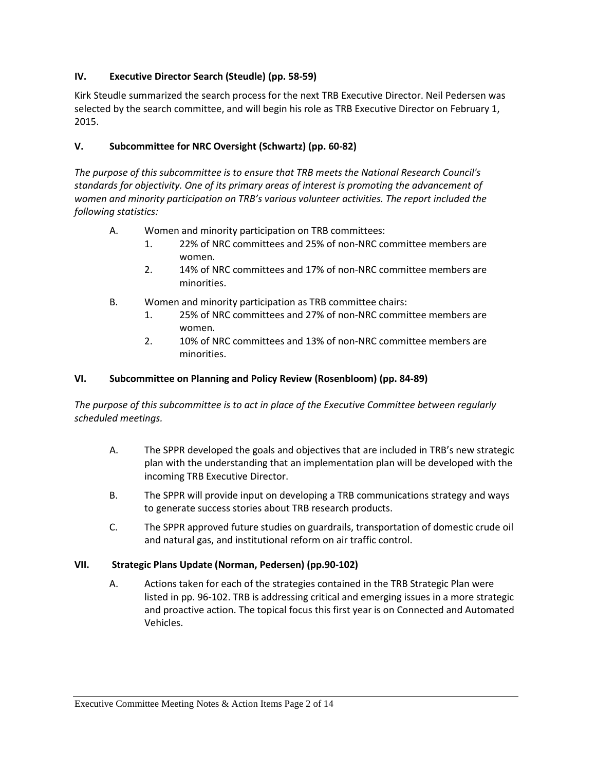# **IV. Executive Director Search (Steudle) (pp. 58-59)**

Kirk Steudle summarized the search process for the next TRB Executive Director. Neil Pedersen was selected by the search committee, and will begin his role as TRB Executive Director on February 1, 2015.

# **V. Subcommittee for NRC Oversight (Schwartz) (pp. 60-82)**

*The purpose of this subcommittee is to ensure that TRB meets the National Research Council's standards for objectivity. One of its primary areas of interest is promoting the advancement of women and minority participation on TRB's various volunteer activities. The report included the following statistics:*

- A. Women and minority participation on TRB committees:
	- 1. 22% of NRC committees and 25% of non-NRC committee members are women.
	- 2. 14% of NRC committees and 17% of non-NRC committee members are minorities.
- B. Women and minority participation as TRB committee chairs:
	- 1. 25% of NRC committees and 27% of non-NRC committee members are women.
	- 2. 10% of NRC committees and 13% of non-NRC committee members are minorities.

# **VI. Subcommittee on Planning and Policy Review (Rosenbloom) (pp. 84-89)**

*The purpose of this subcommittee is to act in place of the Executive Committee between regularly scheduled meetings.*

- A. The SPPR developed the goals and objectives that are included in TRB's new strategic plan with the understanding that an implementation plan will be developed with the incoming TRB Executive Director.
- B. The SPPR will provide input on developing a TRB communications strategy and ways to generate success stories about TRB research products.
- C. The SPPR approved future studies on guardrails, transportation of domestic crude oil and natural gas, and institutional reform on air traffic control.

# **VII. Strategic Plans Update (Norman, Pedersen) (pp.90-102)**

A. Actions taken for each of the strategies contained in the TRB Strategic Plan were listed in pp. 96-102. TRB is addressing critical and emerging issues in a more strategic and proactive action. The topical focus this first year is on Connected and Automated Vehicles.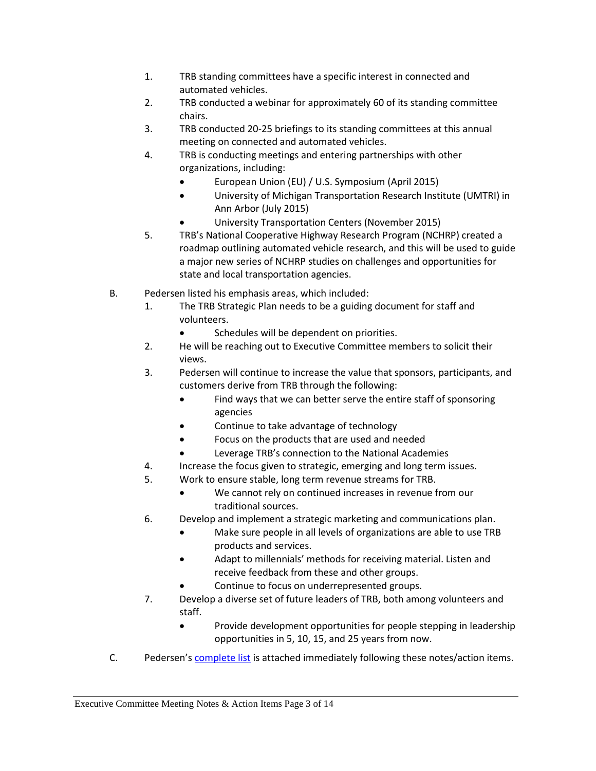- 1. TRB standing committees have a specific interest in connected and automated vehicles.
- 2. TRB conducted a webinar for approximately 60 of its standing committee chairs.
- 3. TRB conducted 20-25 briefings to its standing committees at this annual meeting on connected and automated vehicles.
- 4. TRB is conducting meetings and entering partnerships with other organizations, including:
	- European Union (EU) / U.S. Symposium (April 2015)
	- University of Michigan Transportation Research Institute (UMTRI) in Ann Arbor (July 2015)
	- University Transportation Centers (November 2015)
- 5. TRB's National Cooperative Highway Research Program (NCHRP) created a roadmap outlining automated vehicle research, and this will be used to guide a major new series of NCHRP studies on challenges and opportunities for state and local transportation agencies.
- B. Pedersen listed his emphasis areas, which included:
	- 1. The TRB Strategic Plan needs to be a guiding document for staff and volunteers.
		- Schedules will be dependent on priorities.
	- 2. He will be reaching out to Executive Committee members to solicit their views.
	- 3. Pedersen will continue to increase the value that sponsors, participants, and customers derive from TRB through the following:
		- Find ways that we can better serve the entire staff of sponsoring agencies
		- Continue to take advantage of technology
		- Focus on the products that are used and needed
		- Leverage TRB's connection to the National Academies
	- 4. Increase the focus given to strategic, emerging and long term issues.
	- 5. Work to ensure stable, long term revenue streams for TRB.
		- We cannot rely on continued increases in revenue from our traditional sources.
	- 6. Develop and implement a strategic marketing and communications plan.
		- Make sure people in all levels of organizations are able to use TRB products and services.
		- Adapt to millennials' methods for receiving material. Listen and receive feedback from these and other groups.
		- Continue to focus on underrepresented groups.
	- 7. Develop a diverse set of future leaders of TRB, both among volunteers and staff.
		- Provide development opportunities for people stepping in leadership opportunities in 5, 10, 15, and 25 years from now.
- C. Pedersen's [complete list](#page-10-0) is attached immediately following these notes/action items.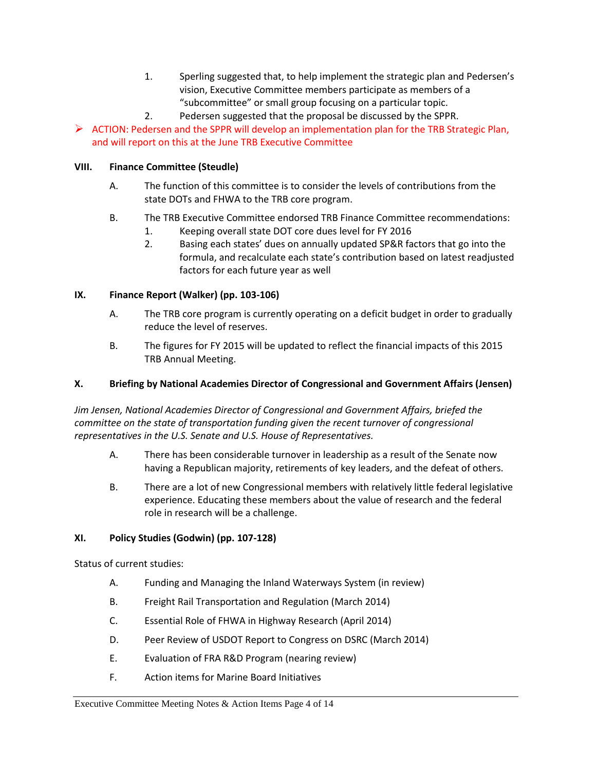- 1. Sperling suggested that, to help implement the strategic plan and Pedersen's vision, Executive Committee members participate as members of a "subcommittee" or small group focusing on a particular topic.
- 2. Pedersen suggested that the proposal be discussed by the SPPR.

 $\triangleright$  ACTION: Pedersen and the SPPR will develop an implementation plan for the TRB Strategic Plan, and will report on this at the June TRB Executive Committee

# **VIII. Finance Committee (Steudle)**

- A. The function of this committee is to consider the levels of contributions from the state DOTs and FHWA to the TRB core program.
- B. The TRB Executive Committee endorsed TRB Finance Committee recommendations:
	- 1. Keeping overall state DOT core dues level for FY 2016
	- 2. Basing each states' dues on annually updated SP&R factors that go into the formula, and recalculate each state's contribution based on latest readjusted factors for each future year as well

# **IX. Finance Report (Walker) (pp. 103-106)**

- A. The TRB core program is currently operating on a deficit budget in order to gradually reduce the level of reserves.
- B. The figures for FY 2015 will be updated to reflect the financial impacts of this 2015 TRB Annual Meeting.

# **X. Briefing by National Academies Director of Congressional and Government Affairs (Jensen)**

*Jim Jensen, National Academies Director of Congressional and Government Affairs, briefed the committee on the state of transportation funding given the recent turnover of congressional representatives in the U.S. Senate and U.S. House of Representatives.*

- A. There has been considerable turnover in leadership as a result of the Senate now having a Republican majority, retirements of key leaders, and the defeat of others.
- B. There are a lot of new Congressional members with relatively little federal legislative experience. Educating these members about the value of research and the federal role in research will be a challenge.

# **XI. Policy Studies (Godwin) (pp. 107-128)**

Status of current studies:

- A. Funding and Managing the Inland Waterways System (in review)
- B. Freight Rail Transportation and Regulation (March 2014)
- C. Essential Role of FHWA in Highway Research (April 2014)
- D. Peer Review of USDOT Report to Congress on DSRC (March 2014)
- E. Evaluation of FRA R&D Program (nearing review)
- F. Action items for Marine Board Initiatives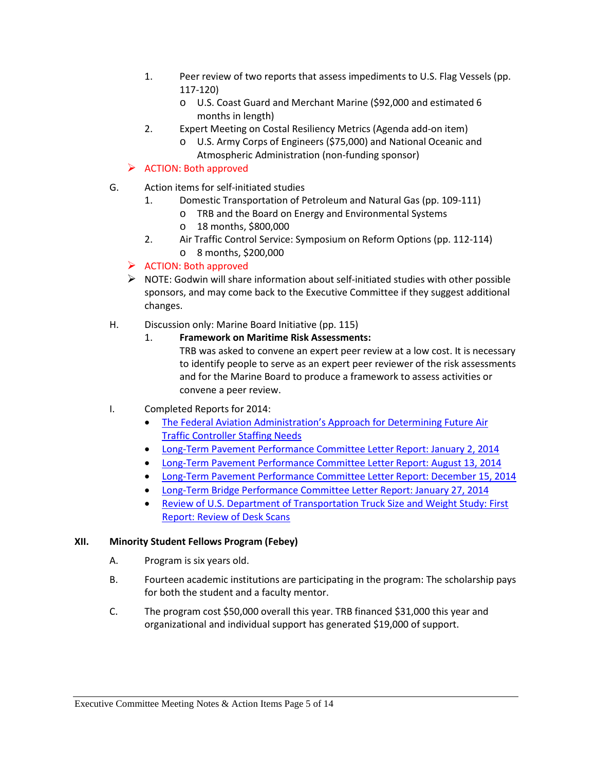- 1. Peer review of two reports that assess impediments to U.S. Flag Vessels (pp. 117-120)
	- o U.S. Coast Guard and Merchant Marine (\$92,000 and estimated 6 months in length)
- 2. Expert Meeting on Costal Resiliency Metrics (Agenda add-on item)
	- o U.S. Army Corps of Engineers (\$75,000) and National Oceanic and Atmospheric Administration (non-funding sponsor)

# $\triangleright$  ACTION: Both approved

- G. Action items for self-initiated studies
	- 1. Domestic Transportation of Petroleum and Natural Gas (pp. 109-111)
		- o TRB and the Board on Energy and Environmental Systems
		- o 18 months, \$800,000
	- 2. Air Traffic Control Service: Symposium on Reform Options (pp. 112-114) o 8 months, \$200,000

# $\triangleright$  ACTION: Both approved

- $\triangleright$  NOTE: Godwin will share information about self-initiated studies with other possible sponsors, and may come back to the Executive Committee if they suggest additional changes.
- H. Discussion only: Marine Board Initiative (pp. 115)
	- 1. **Framework on Maritime Risk Assessments:**

TRB was asked to convene an expert peer review at a low cost. It is necessary to identify people to serve as an expert peer reviewer of the risk assessments and for the Marine Board to produce a framework to assess activities or convene a peer review.

- I. Completed Reports for 2014:
	- [The Federal Aviation Administration's Approach for Determining Future Air](http://www.trb.org/Publications/Blurbs/170870.aspx)  [Traffic Controller Staffing Needs](http://www.trb.org/Publications/Blurbs/170870.aspx)
	- [Long-Term Pavement Performance Committee Letter Report: January 2, 2014](http://www.trb.org/Main/Blurbs/170145.aspx)
	- [Long-Term Pavement Performance Committee Letter Report: August 13, 2014](http://www.trb.org/Main/Blurbs/171301.aspx)
	- [Long-Term Pavement Performance Committee Letter Report: December 15, 2014](http://www.trb.org/Main/Blurbs/171930.aspx)
	- [Long-Term Bridge Performance Committee Letter Report: January 27, 2014](http://www.trb.org/Main/Blurbs/170239.aspx)
	- [Review of U.S. Department of Transportation Truck Size and Weight Study: First](http://www.trb.org/main/blurbs/170503.aspx)  [Report: Review of Desk Scans](http://www.trb.org/main/blurbs/170503.aspx)

#### **XII. Minority Student Fellows Program (Febey)**

- A. Program is six years old.
- B. Fourteen academic institutions are participating in the program: The scholarship pays for both the student and a faculty mentor.
- C. The program cost \$50,000 overall this year. TRB financed \$31,000 this year and organizational and individual support has generated \$19,000 of support.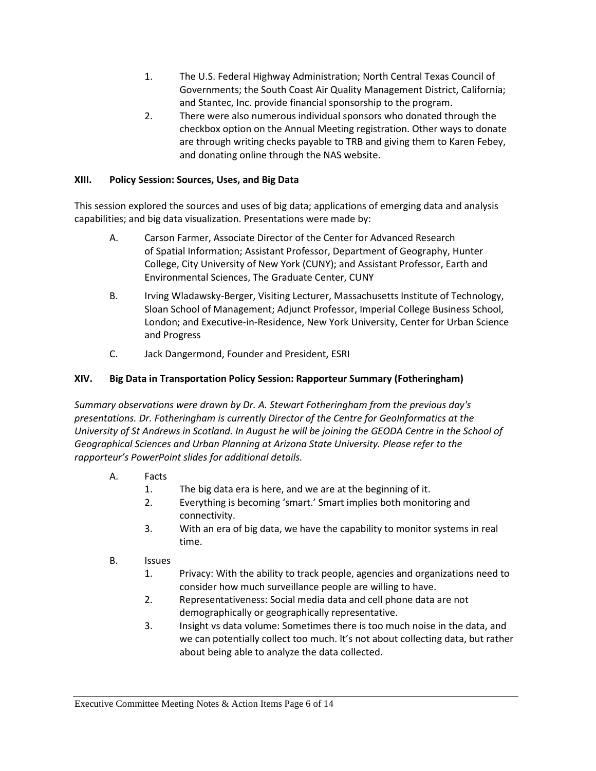- 1. The U.S. Federal Highway Administration; North Central Texas Council of Governments; the South Coast Air Quality Management District, California; and Stantec, Inc. provide financial sponsorship to the program.
- 2. There were also numerous individual sponsors who donated through the checkbox option on the Annual Meeting registration. Other ways to donate are through writing checks payable to TRB and giving them to Karen Febey, and donating online through the NAS website.

# **XIII. Policy Session: Sources, Uses, and Big Data**

This session explored the sources and uses of big data; applications of emerging data and analysis capabilities; and big data visualization. Presentations were made by:

- A. Carson Farmer, Associate Director of the Center for Advanced Research of Spatial Information; Assistant Professor, Department of Geography, Hunter College, City University of New York (CUNY); and Assistant Professor, Earth and Environmental Sciences, The Graduate Center, CUNY
- B. Irving Wladawsky-Berger, Visiting Lecturer, Massachusetts Institute of Technology, Sloan School of Management; Adjunct Professor, Imperial College Business School, London; and Executive-in-Residence, New York University, Center for Urban Science and Progress
- C. Jack Dangermond, Founder and President, ESRI

# **XIV. Big Data in Transportation Policy Session: Rapporteur Summary (Fotheringham)**

*Summary observations were drawn by Dr. A. Stewart Fotheringham from the previous day's presentations. Dr. Fotheringham is currently Director of the Centre for GeoInformatics at the University of St Andrews in Scotland. In August he will be joining the GEODA Centre in the School of Geographical Sciences and Urban Planning at Arizona State University. Please refer to the rapporteur's PowerPoint slides for additional details.* 

- A. Facts
	- 1. The big data era is here, and we are at the beginning of it.
	- 2. Everything is becoming 'smart.' Smart implies both monitoring and connectivity.
	- 3. With an era of big data, we have the capability to monitor systems in real time.
- B. Issues
	- 1. Privacy: With the ability to track people, agencies and organizations need to consider how much surveillance people are willing to have.
	- 2. Representativeness: Social media data and cell phone data are not demographically or geographically representative.
	- 3. Insight vs data volume: Sometimes there is too much noise in the data, and we can potentially collect too much. It's not about collecting data, but rather about being able to analyze the data collected.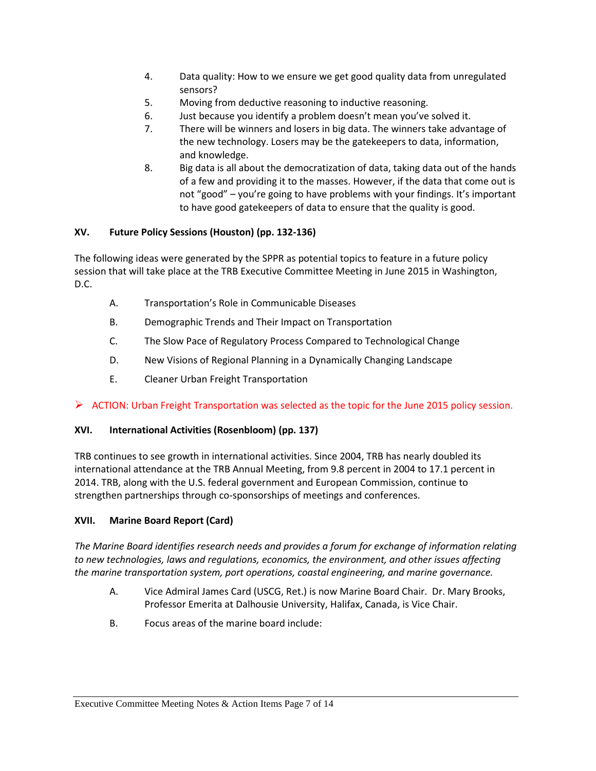- 4. Data quality: How to we ensure we get good quality data from unregulated sensors?
- 5. Moving from deductive reasoning to inductive reasoning.
- 6. Just because you identify a problem doesn't mean you've solved it.
- 7. There will be winners and losers in big data. The winners take advantage of the new technology. Losers may be the gatekeepers to data, information, and knowledge.
- 8. Big data is all about the democratization of data, taking data out of the hands of a few and providing it to the masses. However, if the data that come out is not "good" – you're going to have problems with your findings. It's important to have good gatekeepers of data to ensure that the quality is good.

# **XV. Future Policy Sessions (Houston) (pp. 132-136)**

The following ideas were generated by the SPPR as potential topics to feature in a future policy session that will take place at the TRB Executive Committee Meeting in June 2015 in Washington, D.C.

- A. Transportation's Role in Communicable Diseases
- B. Demographic Trends and Their Impact on Transportation
- C. The Slow Pace of Regulatory Process Compared to Technological Change
- D. New Visions of Regional Planning in a Dynamically Changing Landscape
- E. Cleaner Urban Freight Transportation

# $\triangleright$  ACTION: Urban Freight Transportation was selected as the topic for the June 2015 policy session.

# **XVI. International Activities (Rosenbloom) (pp. 137)**

TRB continues to see growth in international activities. Since 2004, TRB has nearly doubled its international attendance at the TRB Annual Meeting, from 9.8 percent in 2004 to 17.1 percent in 2014. TRB, along with the U.S. federal government and European Commission, continue to strengthen partnerships through co-sponsorships of meetings and conferences.

# **XVII. Marine Board Report (Card)**

*The Marine Board identifies research needs and provides a forum for exchange of information relating to new technologies, laws and regulations, economics, the environment, and other issues affecting the marine transportation system, port operations, coastal engineering, and marine governance.*

- A. Vice Admiral James Card (USCG, Ret.) is now Marine Board Chair. Dr. Mary Brooks, Professor Emerita at Dalhousie University, Halifax, Canada, is Vice Chair.
- B. Focus areas of the marine board include: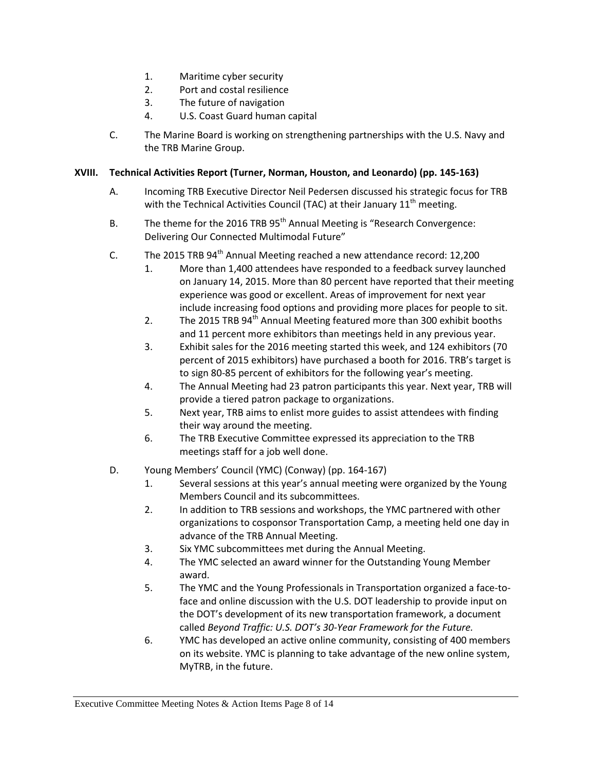- 1. Maritime cyber security
- 2. Port and costal resilience
- 3. The future of navigation
- 4. U.S. Coast Guard human capital
- C. The Marine Board is working on strengthening partnerships with the U.S. Navy and the TRB Marine Group.

### **XVIII. Technical Activities Report (Turner, Norman, Houston, and Leonardo) (pp. 145-163)**

- A. Incoming TRB Executive Director Neil Pedersen discussed his strategic focus for TRB with the Technical Activities Council (TAC) at their January  $11<sup>th</sup>$  meeting.
- B. The theme for the 2016 TRB  $95<sup>th</sup>$  Annual Meeting is "Research Convergence: Delivering Our Connected Multimodal Future"
- C. The 2015 TRB  $94<sup>th</sup>$  Annual Meeting reached a new attendance record: 12,200
	- 1. More than 1,400 attendees have responded to a feedback survey launched on January 14, 2015. More than 80 percent have reported that their meeting experience was good or excellent. Areas of improvement for next year include increasing food options and providing more places for people to sit.
	- 2. The 2015 TRB  $94<sup>th</sup>$  Annual Meeting featured more than 300 exhibit booths and 11 percent more exhibitors than meetings held in any previous year.
	- 3. Exhibit sales for the 2016 meeting started this week, and 124 exhibitors (70 percent of 2015 exhibitors) have purchased a booth for 2016. TRB's target is to sign 80-85 percent of exhibitors for the following year's meeting.
	- 4. The Annual Meeting had 23 patron participants this year. Next year, TRB will provide a tiered patron package to organizations.
	- 5. Next year, TRB aims to enlist more guides to assist attendees with finding their way around the meeting.
	- 6. The TRB Executive Committee expressed its appreciation to the TRB meetings staff for a job well done.
- D. Young Members' Council (YMC) (Conway) (pp. 164-167)
	- 1. Several sessions at this year's annual meeting were organized by the Young Members Council and its subcommittees.
	- 2. In addition to TRB sessions and workshops, the YMC partnered with other organizations to cosponsor Transportation Camp, a meeting held one day in advance of the TRB Annual Meeting.
	- 3. Six YMC subcommittees met during the Annual Meeting.
	- 4. The YMC selected an award winner for the Outstanding Young Member award.
	- 5. The YMC and the Young Professionals in Transportation organized a face-toface and online discussion with the U.S. DOT leadership to provide input on the DOT's development of its new transportation framework, a document called *Beyond Traffic: U.S. DOT's 30-Year Framework for the Future.*
	- 6. YMC has developed an active online community, consisting of 400 members on its website. YMC is planning to take advantage of the new online system, MyTRB, in the future.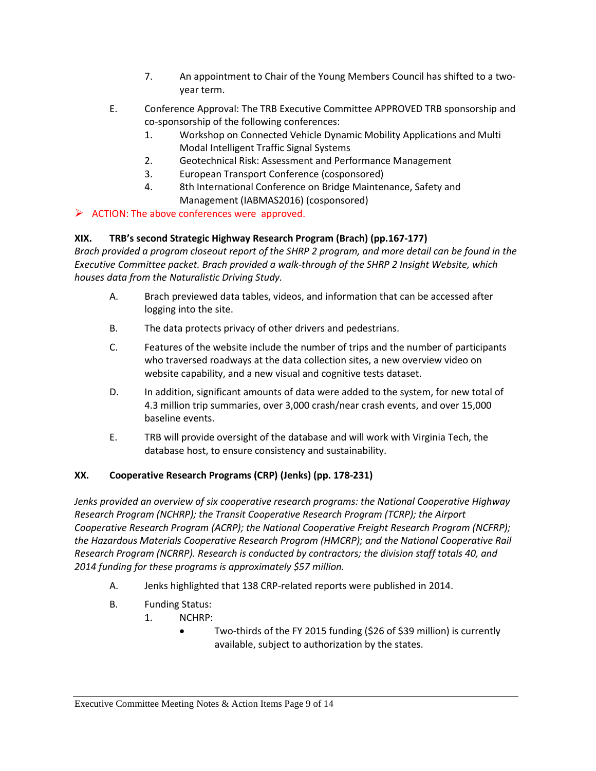- 7. An appointment to Chair of the Young Members Council has shifted to a twoyear term.
- E. Conference Approval: The TRB Executive Committee APPROVED TRB sponsorship and co-sponsorship of the following conferences:
	- 1. Workshop on Connected Vehicle Dynamic Mobility Applications and Multi Modal Intelligent Traffic Signal Systems
	- 2. Geotechnical Risk: Assessment and Performance Management
	- 3. European Transport Conference (cosponsored)
	- 4. 8th International Conference on Bridge Maintenance, Safety and Management (IABMAS2016) (cosponsored)

 $\triangleright$  ACTION: The above conferences were approved.

# **XIX. TRB's second Strategic Highway Research Program (Brach) (pp.167-177)**

*Brach provided a program closeout report of the SHRP 2 program, and more detail can be found in the Executive Committee packet. Brach provided a walk-through of the SHRP 2 Insight Website, which houses data from the Naturalistic Driving Study.* 

- A. Brach previewed data tables, videos, and information that can be accessed after logging into the site.
- B. The data protects privacy of other drivers and pedestrians.
- C. Features of the website include the number of trips and the number of participants who traversed roadways at the data collection sites, a new overview video on website capability, and a new visual and cognitive tests dataset.
- D. In addition, significant amounts of data were added to the system, for new total of 4.3 million trip summaries, over 3,000 crash/near crash events, and over 15,000 baseline events.
- E. TRB will provide oversight of the database and will work with Virginia Tech, the database host, to ensure consistency and sustainability.

# **XX. Cooperative Research Programs (CRP) (Jenks) (pp. 178-231)**

*Jenks provided an overview of six cooperative research programs: the National Cooperative Highway Research Program (NCHRP); the Transit Cooperative Research Program (TCRP); the Airport Cooperative Research Program (ACRP); the National Cooperative Freight Research Program (NCFRP); the Hazardous Materials Cooperative Research Program (HMCRP); and the National Cooperative Rail Research Program (NCRRP). Research is conducted by contractors; the division staff totals 40, and 2014 funding for these programs is approximately \$57 million.*

- A. Jenks highlighted that 138 CRP-related reports were published in 2014.
- B. Funding Status:
	- 1. NCHRP:
		- Two-thirds of the FY 2015 funding (\$26 of \$39 million) is currently available, subject to authorization by the states.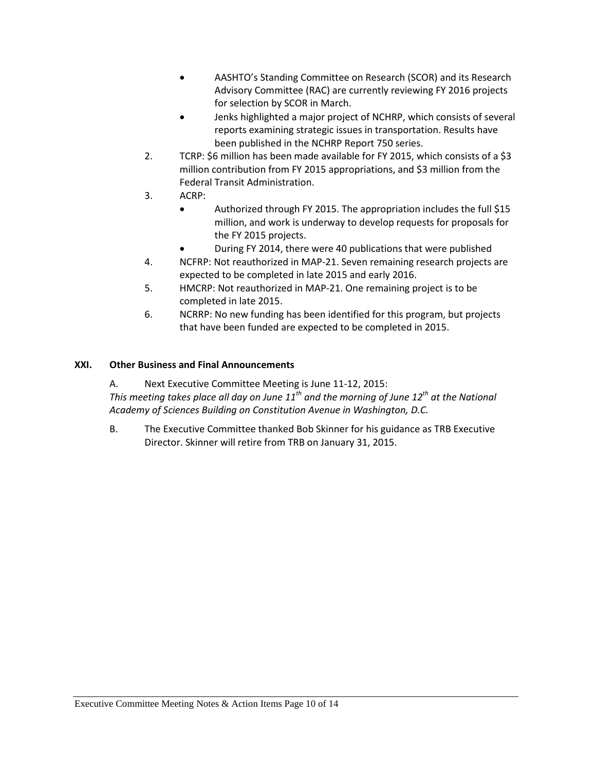- AASHTO's Standing Committee on Research (SCOR) and its Research Advisory Committee (RAC) are currently reviewing FY 2016 projects for selection by SCOR in March.
- Jenks highlighted a major project of NCHRP, which consists of several reports examining strategic issues in transportation. Results have been published in the NCHRP Report 750 series.
- 2. TCRP: \$6 million has been made available for FY 2015, which consists of a \$3 million contribution from FY 2015 appropriations, and \$3 million from the Federal Transit Administration.
- 3. ACRP:
	- Authorized through FY 2015. The appropriation includes the full \$15 million, and work is underway to develop requests for proposals for the FY 2015 projects.
	- During FY 2014, there were 40 publications that were published
- 4. NCFRP: Not reauthorized in MAP-21. Seven remaining research projects are expected to be completed in late 2015 and early 2016.
- 5. HMCRP: Not reauthorized in MAP-21. One remaining project is to be completed in late 2015.
- 6. NCRRP: No new funding has been identified for this program, but projects that have been funded are expected to be completed in 2015.

# **XXI. Other Business and Final Announcements**

A. Next Executive Committee Meeting is June 11-12, 2015:

*This meeting takes place all day on June 11th and the morning of June 12th at the National Academy of Sciences Building on Constitution Avenue in Washington, D.C.*

B. The Executive Committee thanked Bob Skinner for his guidance as TRB Executive Director. Skinner will retire from TRB on January 31, 2015.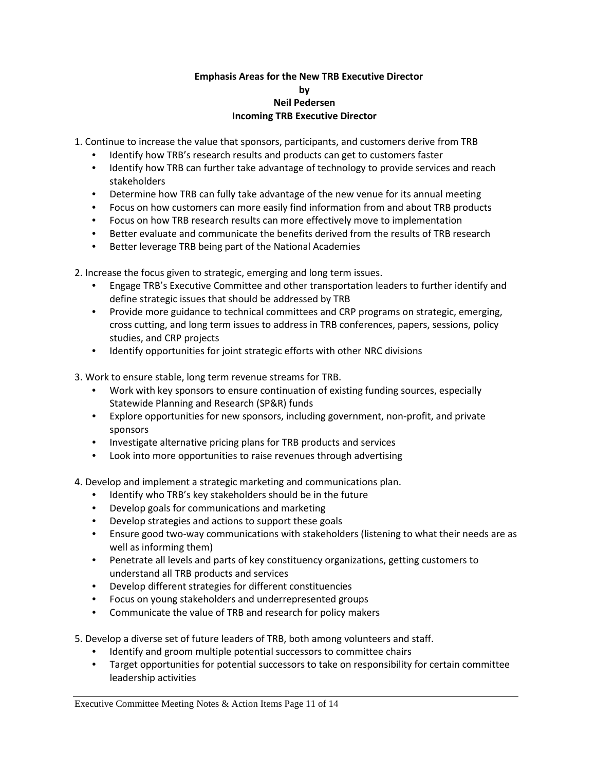### **Emphasis Areas for the New TRB Executive Director by Neil Pedersen Incoming TRB Executive Director**

<span id="page-10-0"></span>1. Continue to increase the value that sponsors, participants, and customers derive from TRB

- Identify how TRB's research results and products can get to customers faster
- Identify how TRB can further take advantage of technology to provide services and reach stakeholders
- Determine how TRB can fully take advantage of the new venue for its annual meeting
- Focus on how customers can more easily find information from and about TRB products
- Focus on how TRB research results can more effectively move to implementation
- Better evaluate and communicate the benefits derived from the results of TRB research
- Better leverage TRB being part of the National Academies

2. Increase the focus given to strategic, emerging and long term issues.

- Engage TRB's Executive Committee and other transportation leaders to further identify and define strategic issues that should be addressed by TRB
- Provide more guidance to technical committees and CRP programs on strategic, emerging, cross cutting, and long term issues to address in TRB conferences, papers, sessions, policy studies, and CRP projects
- Identify opportunities for joint strategic efforts with other NRC divisions

3. Work to ensure stable, long term revenue streams for TRB.

- Work with key sponsors to ensure continuation of existing funding sources, especially Statewide Planning and Research (SP&R) funds
- Explore opportunities for new sponsors, including government, non-profit, and private sponsors
- Investigate alternative pricing plans for TRB products and services
- Look into more opportunities to raise revenues through advertising
- 4. Develop and implement a strategic marketing and communications plan.
	- Identify who TRB's key stakeholders should be in the future
	- Develop goals for communications and marketing
	- Develop strategies and actions to support these goals
	- Ensure good two-way communications with stakeholders (listening to what their needs are as well as informing them)
	- Penetrate all levels and parts of key constituency organizations, getting customers to understand all TRB products and services
	- Develop different strategies for different constituencies
	- Focus on young stakeholders and underrepresented groups
	- Communicate the value of TRB and research for policy makers
- 5. Develop a diverse set of future leaders of TRB, both among volunteers and staff.
	- Identify and groom multiple potential successors to committee chairs
	- Target opportunities for potential successors to take on responsibility for certain committee leadership activities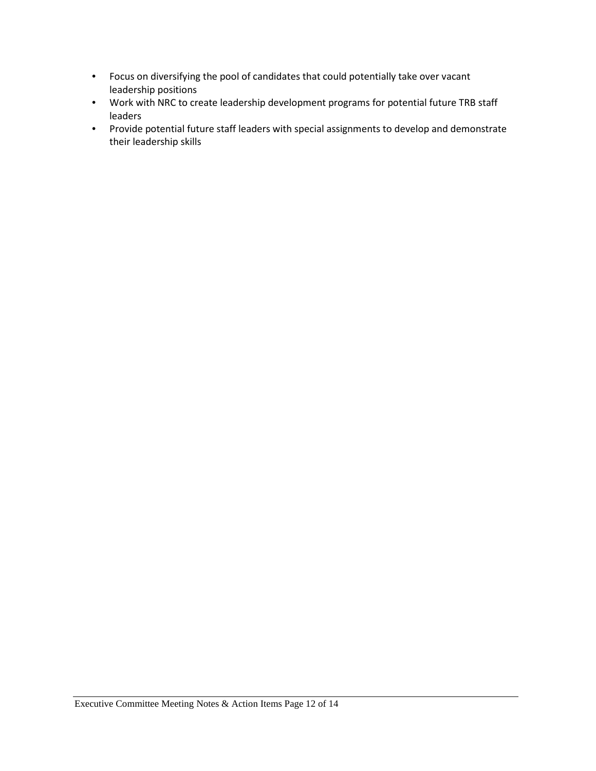- Focus on diversifying the pool of candidates that could potentially take over vacant leadership positions
- Work with NRC to create leadership development programs for potential future TRB staff leaders
- Provide potential future staff leaders with special assignments to develop and demonstrate their leadership skills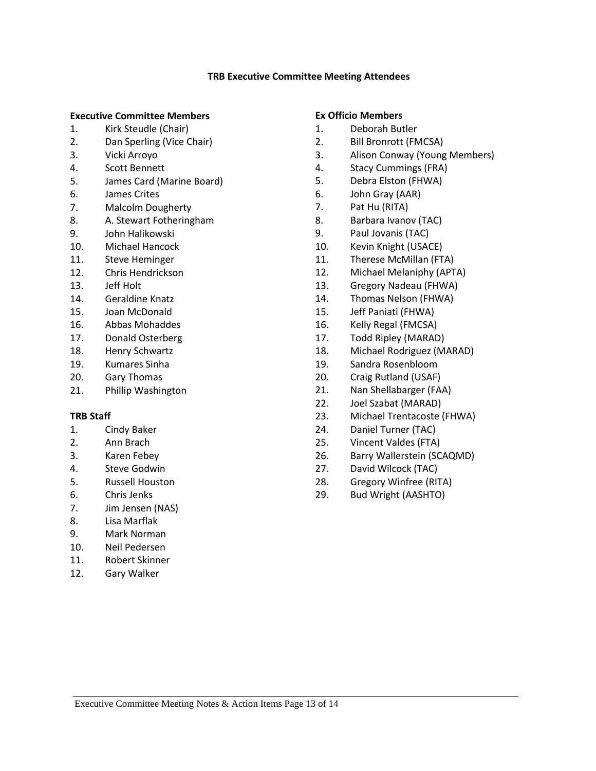#### **TRB Executive Committee Meeting Attendees**

#### <span id="page-12-0"></span>**Executive Committee Members**

- 1. Kirk Steudle (Chair)
- 2. Dan Sperling (Vice Chair)
- 3. Vicki Arroyo
- 4. Scott Bennett
- 5. James Card (Marine Board)
- 6. James Crites
- 7. Malcolm Dougherty
- 8. A. Stewart Fotheringham
- 9. John Halikowski
- 10. Michael Hancock
- 11. Steve Heminger
- 12. Chris Hendrickson
- 13. Jeff Holt
- 14. Geraldine Knatz
- 15. Joan McDonald
- 16. Abbas Mohaddes
- 17. Donald Osterberg
- 18. Henry Schwartz
- 19. Kumares Sinha
- 20. Gary Thomas
- 21. Phillip Washington

#### **TRB Staff**

- 1. Cindy Baker
- 2. Ann Brach
- 3. Karen Febey
- 4. Steve Godwin
- 5. Russell Houston
- 6. Chris Jenks
- 7. Jim Jensen (NAS)
- 8. Lisa Marflak
- 9. Mark Norman
- 10. Neil Pedersen
- 11. Robert Skinner
- 12. Gary Walker

### **Ex Officio Members**

- 1. Deborah Butler
- 2. Bill Bronrott (FMCSA)
- 3. Alison Conway (Young Members)
- 4. Stacy Cummings (FRA)
- 5. Debra Elston (FHWA)
- 6. John Gray (AAR)
- 7. Pat Hu (RITA)
- 8. Barbara Ivanov (TAC)
- 9. Paul Jovanis (TAC)
- 10. Kevin Knight (USACE)
- 11. Therese McMillan (FTA)
- 12. Michael Melaniphy (APTA)
- 13. Gregory Nadeau (FHWA)
- 14. Thomas Nelson (FHWA)
- 15. Jeff Paniati (FHWA)
- 16. Kelly Regal (FMCSA)
- 17. Todd Ripley (MARAD)
- 18. Michael Rodriguez (MARAD)
- 19. Sandra Rosenbloom
- 20. Craig Rutland (USAF)
- 21. Nan Shellabarger (FAA)
- 22. Joel Szabat (MARAD)
- 23. Michael Trentacoste (FHWA)
- 24. Daniel Turner (TAC)
- 25. Vincent Valdes (FTA)
- 26. Barry Wallerstein (SCAQMD)
- 27. David Wilcock (TAC)
- 28. Gregory Winfree (RITA)
- 29. Bud Wright (AASHTO)